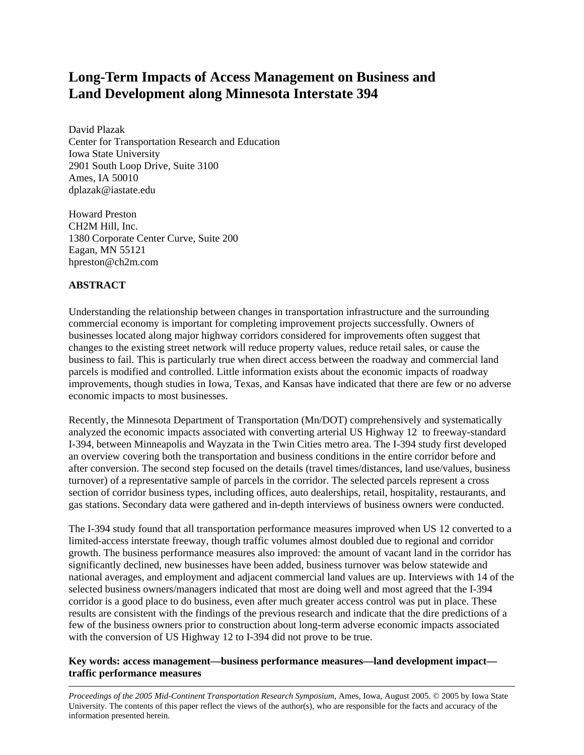# **Long-Term Impacts of Access Management on Business and Land Development along Minnesota Interstate 394**

David Plazak Center for Transportation Research and Education Iowa State University 2901 South Loop Drive, Suite 3100 Ames, IA 50010 dplazak@iastate.edu

Howard Preston CH2M Hill, Inc. 1380 Corporate Center Curve, Suite 200 Eagan, MN 55121 hpreston@ch2m.com

# **ABSTRACT**

Understanding the relationship between changes in transportation infrastructure and the surrounding commercial economy is important for completing improvement projects successfully. Owners of businesses located along major highway corridors considered for improvements often suggest that changes to the existing street network will reduce property values, reduce retail sales, or cause the business to fail. This is particularly true when direct access between the roadway and commercial land parcels is modified and controlled. Little information exists about the economic impacts of roadway improvements, though studies in Iowa, Texas, and Kansas have indicated that there are few or no adverse economic impacts to most businesses.

Recently, the Minnesota Department of Transportation (Mn/DOT) comprehensively and systematically analyzed the economic impacts associated with converting arterial US Highway 12 to freeway-standard I-394, between Minneapolis and Wayzata in the Twin Cities metro area. The I-394 study first developed an overview covering both the transportation and business conditions in the entire corridor before and after conversion. The second step focused on the details (travel times/distances, land use/values, business turnover) of a representative sample of parcels in the corridor. The selected parcels represent a cross section of corridor business types, including offices, auto dealerships, retail, hospitality, restaurants, and gas stations. Secondary data were gathered and in-depth interviews of business owners were conducted.

The I-394 study found that all transportation performance measures improved when US 12 converted to a limited-access interstate freeway, though traffic volumes almost doubled due to regional and corridor growth. The business performance measures also improved: the amount of vacant land in the corridor has significantly declined, new businesses have been added, business turnover was below statewide and national averages, and employment and adjacent commercial land values are up. Interviews with 14 of the selected business owners/managers indicated that most are doing well and most agreed that the I-394 corridor is a good place to do business, even after much greater access control was put in place. These results are consistent with the findings of the previous research and indicate that the dire predictions of a few of the business owners prior to construction about long-term adverse economic impacts associated with the conversion of US Highway 12 to I-394 did not prove to be true.

## **Key words: access management—business performance measures—land development impact traffic performance measures**

*Proceedings of the 2005 Mid-Continent Transportation Research Symposium*, Ames, Iowa, August 2005. © 2005 by Iowa State University. The contents of this paper reflect the views of the author(s), who are responsible for the facts and accuracy of the information presented herein.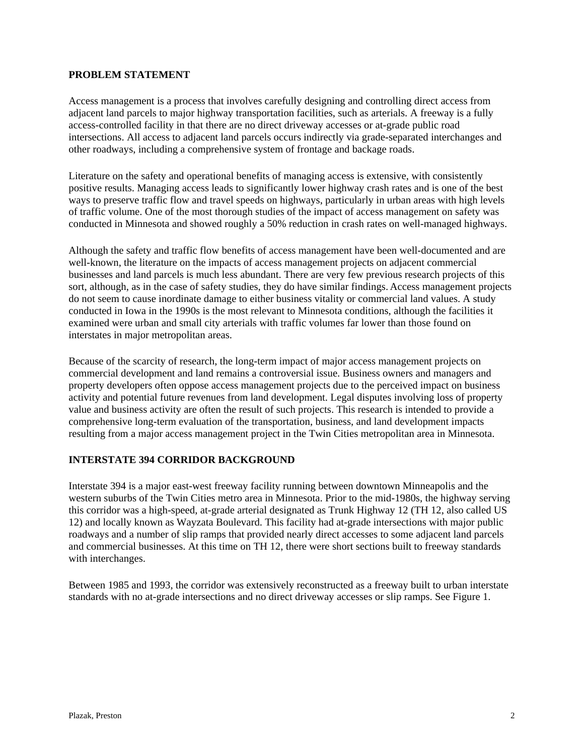#### **PROBLEM STATEMENT**

Access management is a process that involves carefully designing and controlling direct access from adjacent land parcels to major highway transportation facilities, such as arterials. A freeway is a fully access-controlled facility in that there are no direct driveway accesses or at-grade public road intersections. All access to adjacent land parcels occurs indirectly via grade-separated interchanges and other roadways, including a comprehensive system of frontage and backage roads.

Literature on the safety and operational benefits of managing access is extensive, with consistently positive results. Managing access leads to significantly lower highway crash rates and is one of the best ways to preserve traffic flow and travel speeds on highways, particularly in urban areas with high levels of traffic volume. One of the most thorough studies of the impact of access management on safety was conducted in Minnesota and showed roughly a 50% reduction in crash rates on well-managed highways.

Although the safety and traffic flow benefits of access management have been well-documented and are well-known, the literature on the impacts of access management projects on adjacent commercial businesses and land parcels is much less abundant. There are very few previous research projects of this sort, although, as in the case of safety studies, they do have similar findings. Access management projects do not seem to cause inordinate damage to either business vitality or commercial land values. A study conducted in Iowa in the 1990s is the most relevant to Minnesota conditions, although the facilities it examined were urban and small city arterials with traffic volumes far lower than those found on interstates in major metropolitan areas.

Because of the scarcity of research, the long-term impact of major access management projects on commercial development and land remains a controversial issue. Business owners and managers and property developers often oppose access management projects due to the perceived impact on business activity and potential future revenues from land development. Legal disputes involving loss of property value and business activity are often the result of such projects. This research is intended to provide a comprehensive long-term evaluation of the transportation, business, and land development impacts resulting from a major access management project in the Twin Cities metropolitan area in Minnesota.

## **INTERSTATE 394 CORRIDOR BACKGROUND**

Interstate 394 is a major east-west freeway facility running between downtown Minneapolis and the western suburbs of the Twin Cities metro area in Minnesota. Prior to the mid-1980s, the highway serving this corridor was a high-speed, at-grade arterial designated as Trunk Highway 12 (TH 12, also called US 12) and locally known as Wayzata Boulevard. This facility had at-grade intersections with major public roadways and a number of slip ramps that provided nearly direct accesses to some adjacent land parcels and commercial businesses. At this time on TH 12, there were short sections built to freeway standards with interchanges.

Between 1985 and 1993, the corridor was extensively reconstructed as a freeway built to urban interstate standards with no at-grade intersections and no direct driveway accesses or slip ramps. See Figure 1.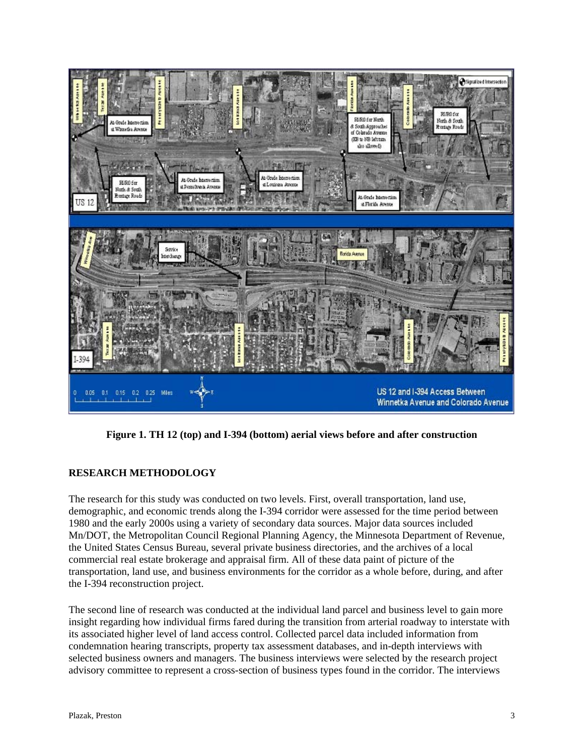

**Figure 1. TH 12 (top) and I-394 (bottom) aerial views before and after construction** 

# **RESEARCH METHODOLOGY**

The research for this study was conducted on two levels. First, overall transportation, land use, demographic, and economic trends along the I-394 corridor were assessed for the time period between 1980 and the early 2000s using a variety of secondary data sources. Major data sources included Mn/DOT, the Metropolitan Council Regional Planning Agency, the Minnesota Department of Revenue, the United States Census Bureau, several private business directories, and the archives of a local commercial real estate brokerage and appraisal firm. All of these data paint of picture of the transportation, land use, and business environments for the corridor as a whole before, during, and after the I-394 reconstruction project.

The second line of research was conducted at the individual land parcel and business level to gain more insight regarding how individual firms fared during the transition from arterial roadway to interstate with its associated higher level of land access control. Collected parcel data included information from condemnation hearing transcripts, property tax assessment databases, and in-depth interviews with selected business owners and managers. The business interviews were selected by the research project advisory committee to represent a cross-section of business types found in the corridor. The interviews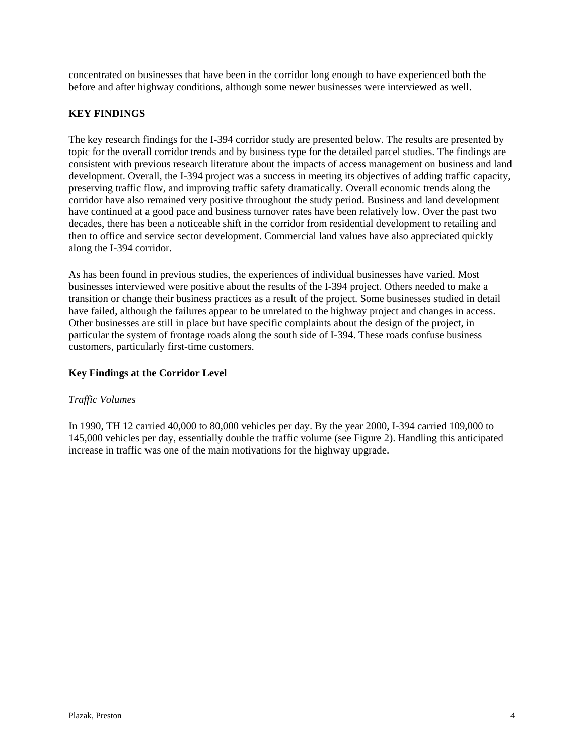concentrated on businesses that have been in the corridor long enough to have experienced both the before and after highway conditions, although some newer businesses were interviewed as well.

## **KEY FINDINGS**

The key research findings for the I-394 corridor study are presented below. The results are presented by topic for the overall corridor trends and by business type for the detailed parcel studies. The findings are consistent with previous research literature about the impacts of access management on business and land development. Overall, the I-394 project was a success in meeting its objectives of adding traffic capacity, preserving traffic flow, and improving traffic safety dramatically. Overall economic trends along the corridor have also remained very positive throughout the study period. Business and land development have continued at a good pace and business turnover rates have been relatively low. Over the past two decades, there has been a noticeable shift in the corridor from residential development to retailing and then to office and service sector development. Commercial land values have also appreciated quickly along the I-394 corridor.

As has been found in previous studies, the experiences of individual businesses have varied. Most businesses interviewed were positive about the results of the I-394 project. Others needed to make a transition or change their business practices as a result of the project. Some businesses studied in detail have failed, although the failures appear to be unrelated to the highway project and changes in access. Other businesses are still in place but have specific complaints about the design of the project, in particular the system of frontage roads along the south side of I-394. These roads confuse business customers, particularly first-time customers.

#### **Key Findings at the Corridor Level**

#### *Traffic Volumes*

In 1990, TH 12 carried 40,000 to 80,000 vehicles per day. By the year 2000, I-394 carried 109,000 to 145,000 vehicles per day, essentially double the traffic volume (see Figure 2). Handling this anticipated increase in traffic was one of the main motivations for the highway upgrade.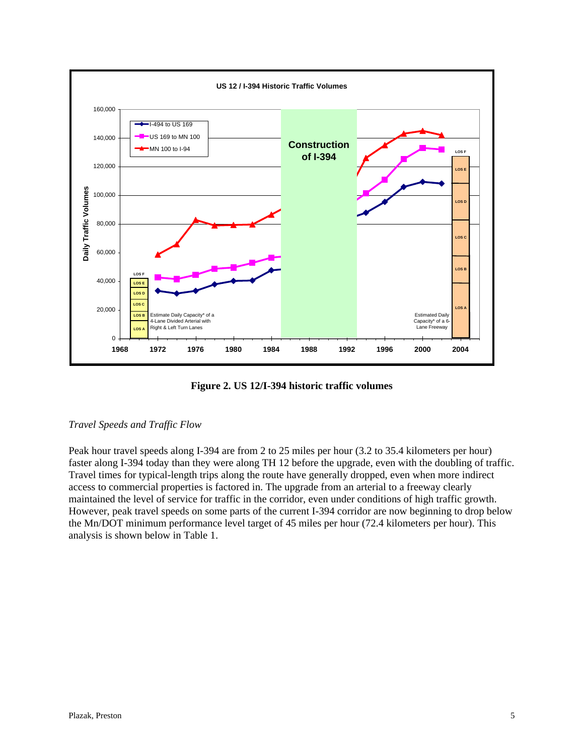

**Figure 2. US 12/I-394 historic traffic volumes** 

# *Travel Speeds and Traffic Flow*

Peak hour travel speeds along I-394 are from 2 to 25 miles per hour (3.2 to 35.4 kilometers per hour) faster along I-394 today than they were along TH 12 before the upgrade, even with the doubling of traffic. Travel times for typical-length trips along the route have generally dropped, even when more indirect access to commercial properties is factored in. The upgrade from an arterial to a freeway clearly maintained the level of service for traffic in the corridor, even under conditions of high traffic growth. However, peak travel speeds on some parts of the current I-394 corridor are now beginning to drop below the Mn/DOT minimum performance level target of 45 miles per hour (72.4 kilometers per hour). This analysis is shown below in Table 1.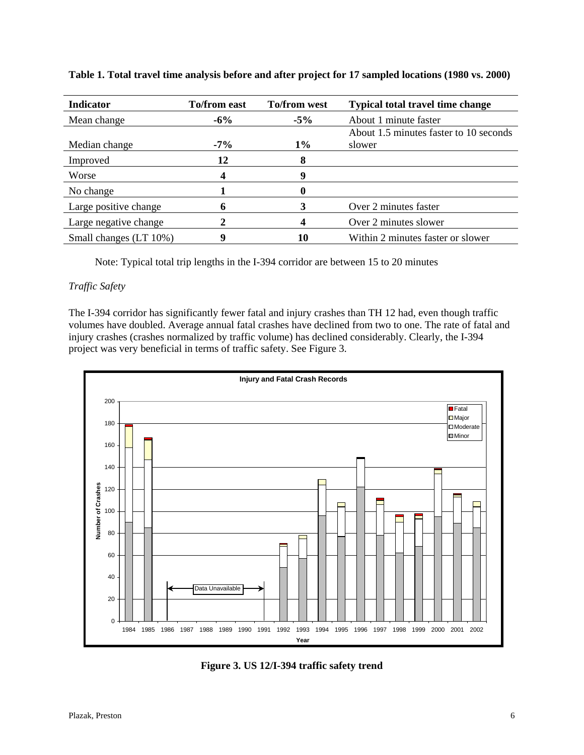| <b>Indicator</b>       | <b>To/from east</b> | <b>To/from west</b> | <b>Typical total travel time change</b> |
|------------------------|---------------------|---------------------|-----------------------------------------|
| Mean change            | $-6\%$              | $-5\%$              | About 1 minute faster                   |
|                        |                     |                     | About 1.5 minutes faster to 10 seconds  |
| Median change          | $-7\%$              | $1\%$               | slower                                  |
| Improved               | 12                  | 8                   |                                         |
| Worse                  |                     | 9                   |                                         |
| No change              |                     |                     |                                         |
| Large positive change  | n                   |                     | Over 2 minutes faster                   |
| Large negative change  |                     |                     | Over 2 minutes slower                   |
| Small changes (LT 10%) | 9                   | 10                  | Within 2 minutes faster or slower       |

**Table 1. Total travel time analysis before and after project for 17 sampled locations (1980 vs. 2000)** 

Note: Typical total trip lengths in the I-394 corridor are between 15 to 20 minutes

# *Traffic Safety*

The I-394 corridor has significantly fewer fatal and injury crashes than TH 12 had, even though traffic volumes have doubled. Average annual fatal crashes have declined from two to one. The rate of fatal and injury crashes (crashes normalized by traffic volume) has declined considerably. Clearly, the I-394 project was very beneficial in terms of traffic safety. See Figure 3.



**Figure 3. US 12/I-394 traffic safety trend**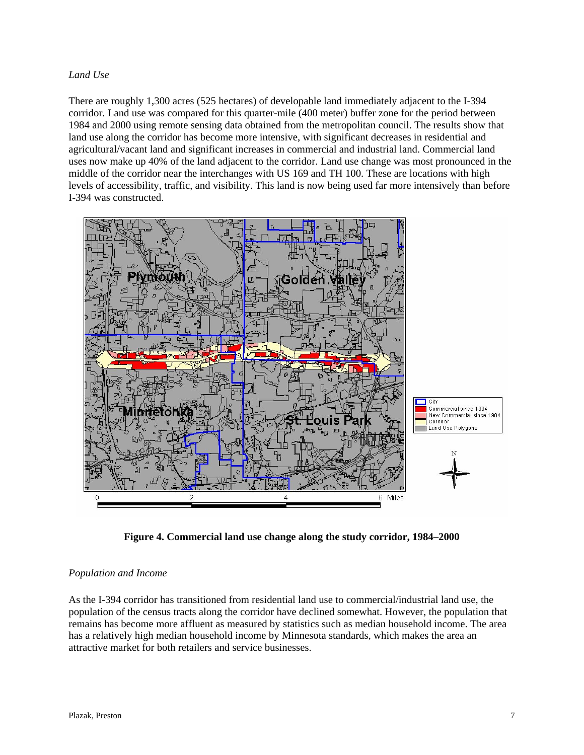#### *Land Use*

There are roughly 1,300 acres (525 hectares) of developable land immediately adjacent to the I-394 corridor. Land use was compared for this quarter-mile (400 meter) buffer zone for the period between 1984 and 2000 using remote sensing data obtained from the metropolitan council. The results show that land use along the corridor has become more intensive, with significant decreases in residential and agricultural/vacant land and significant increases in commercial and industrial land. Commercial land uses now make up 40% of the land adjacent to the corridor. Land use change was most pronounced in the middle of the corridor near the interchanges with US 169 and TH 100. These are locations with high levels of accessibility, traffic, and visibility. This land is now being used far more intensively than before I-394 was constructed.



**Figure 4. Commercial land use change along the study corridor, 1984–2000** 

## *Population and Income*

As the I-394 corridor has transitioned from residential land use to commercial/industrial land use, the population of the census tracts along the corridor have declined somewhat. However, the population that remains has become more affluent as measured by statistics such as median household income. The area has a relatively high median household income by Minnesota standards, which makes the area an attractive market for both retailers and service businesses.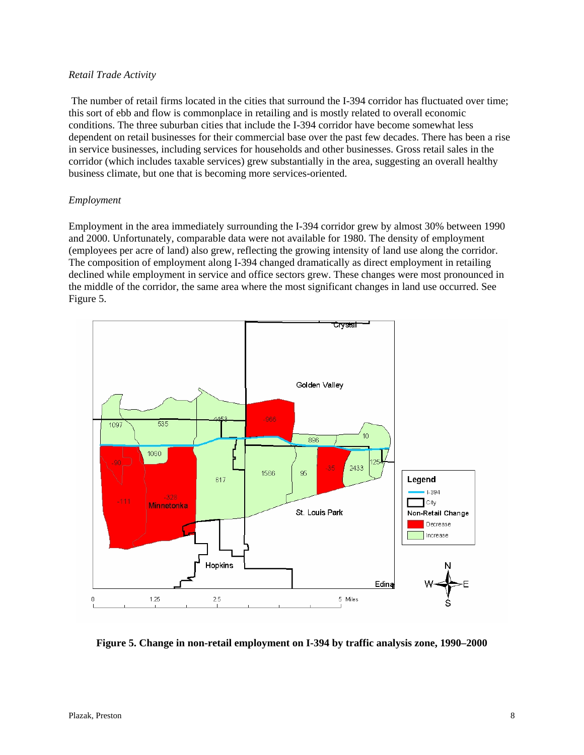#### *Retail Trade Activity*

 The number of retail firms located in the cities that surround the I-394 corridor has fluctuated over time; this sort of ebb and flow is commonplace in retailing and is mostly related to overall economic conditions. The three suburban cities that include the I-394 corridor have become somewhat less dependent on retail businesses for their commercial base over the past few decades. There has been a rise in service businesses, including services for households and other businesses. Gross retail sales in the corridor (which includes taxable services) grew substantially in the area, suggesting an overall healthy business climate, but one that is becoming more services-oriented.

#### *Employment*

Employment in the area immediately surrounding the I-394 corridor grew by almost 30% between 1990 and 2000. Unfortunately, comparable data were not available for 1980. The density of employment (employees per acre of land) also grew, reflecting the growing intensity of land use along the corridor. The composition of employment along I-394 changed dramatically as direct employment in retailing declined while employment in service and office sectors grew. These changes were most pronounced in the middle of the corridor, the same area where the most significant changes in land use occurred. See Figure 5.



**Figure 5. Change in non-retail employment on I-394 by traffic analysis zone, 1990–2000**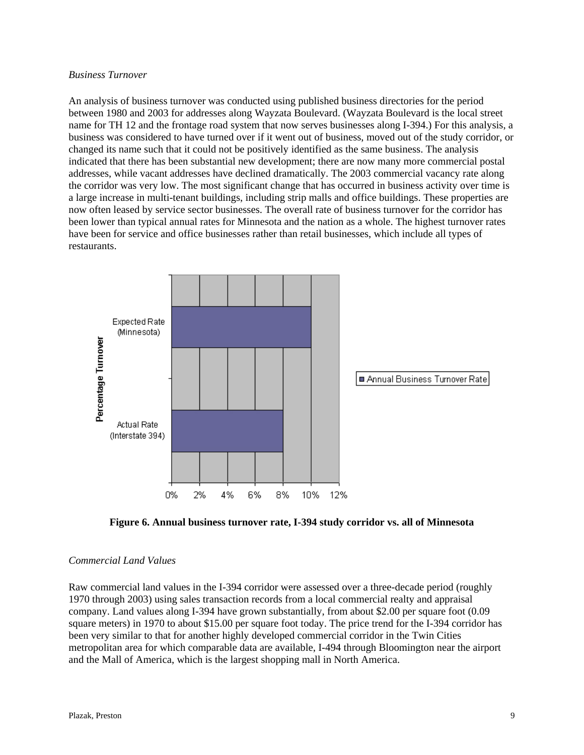#### *Business Turnover*

An analysis of business turnover was conducted using published business directories for the period between 1980 and 2003 for addresses along Wayzata Boulevard. (Wayzata Boulevard is the local street name for TH 12 and the frontage road system that now serves businesses along I-394.) For this analysis, a business was considered to have turned over if it went out of business, moved out of the study corridor, or changed its name such that it could not be positively identified as the same business. The analysis indicated that there has been substantial new development; there are now many more commercial postal addresses, while vacant addresses have declined dramatically. The 2003 commercial vacancy rate along the corridor was very low. The most significant change that has occurred in business activity over time is a large increase in multi-tenant buildings, including strip malls and office buildings. These properties are now often leased by service sector businesses. The overall rate of business turnover for the corridor has been lower than typical annual rates for Minnesota and the nation as a whole. The highest turnover rates have been for service and office businesses rather than retail businesses, which include all types of restaurants.



**Figure 6. Annual business turnover rate, I-394 study corridor vs. all of Minnesota** 

## *Commercial Land Values*

Raw commercial land values in the I-394 corridor were assessed over a three-decade period (roughly 1970 through 2003) using sales transaction records from a local commercial realty and appraisal company. Land values along I-394 have grown substantially, from about \$2.00 per square foot (0.09 square meters) in 1970 to about \$15.00 per square foot today. The price trend for the I-394 corridor has been very similar to that for another highly developed commercial corridor in the Twin Cities metropolitan area for which comparable data are available, I-494 through Bloomington near the airport and the Mall of America, which is the largest shopping mall in North America.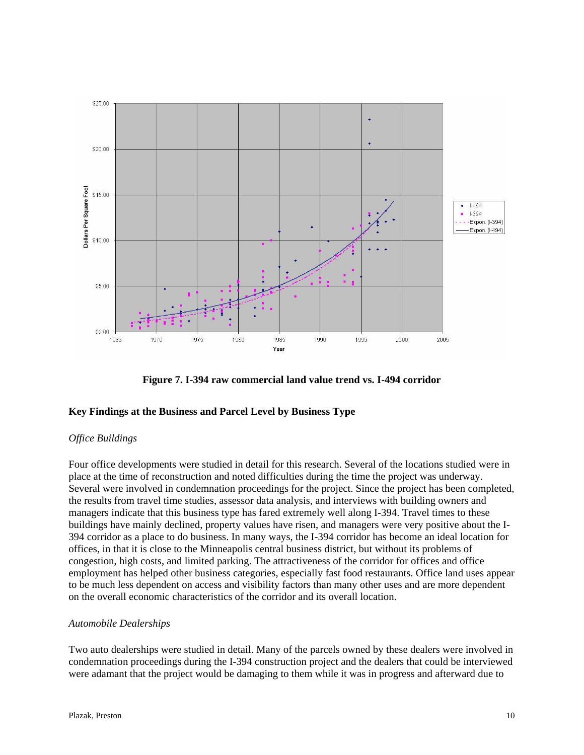

**Figure 7. I-394 raw commercial land value trend vs. I-494 corridor** 

## **Key Findings at the Business and Parcel Level by Business Type**

## *Office Buildings*

Four office developments were studied in detail for this research. Several of the locations studied were in place at the time of reconstruction and noted difficulties during the time the project was underway. Several were involved in condemnation proceedings for the project. Since the project has been completed, the results from travel time studies, assessor data analysis, and interviews with building owners and managers indicate that this business type has fared extremely well along I-394. Travel times to these buildings have mainly declined, property values have risen, and managers were very positive about the I-394 corridor as a place to do business. In many ways, the I-394 corridor has become an ideal location for offices, in that it is close to the Minneapolis central business district, but without its problems of congestion, high costs, and limited parking. The attractiveness of the corridor for offices and office employment has helped other business categories, especially fast food restaurants. Office land uses appear to be much less dependent on access and visibility factors than many other uses and are more dependent on the overall economic characteristics of the corridor and its overall location.

## *Automobile Dealerships*

Two auto dealerships were studied in detail. Many of the parcels owned by these dealers were involved in condemnation proceedings during the I-394 construction project and the dealers that could be interviewed were adamant that the project would be damaging to them while it was in progress and afterward due to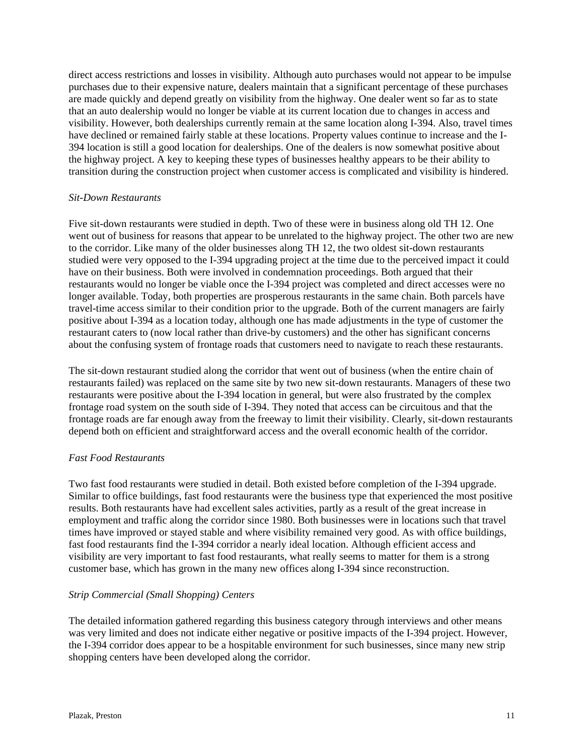direct access restrictions and losses in visibility. Although auto purchases would not appear to be impulse purchases due to their expensive nature, dealers maintain that a significant percentage of these purchases are made quickly and depend greatly on visibility from the highway. One dealer went so far as to state that an auto dealership would no longer be viable at its current location due to changes in access and visibility. However, both dealerships currently remain at the same location along I-394. Also, travel times have declined or remained fairly stable at these locations. Property values continue to increase and the I-394 location is still a good location for dealerships. One of the dealers is now somewhat positive about the highway project. A key to keeping these types of businesses healthy appears to be their ability to transition during the construction project when customer access is complicated and visibility is hindered.

#### *Sit-Down Restaurants*

Five sit-down restaurants were studied in depth. Two of these were in business along old TH 12. One went out of business for reasons that appear to be unrelated to the highway project. The other two are new to the corridor. Like many of the older businesses along TH 12, the two oldest sit-down restaurants studied were very opposed to the I-394 upgrading project at the time due to the perceived impact it could have on their business. Both were involved in condemnation proceedings. Both argued that their restaurants would no longer be viable once the I-394 project was completed and direct accesses were no longer available. Today, both properties are prosperous restaurants in the same chain. Both parcels have travel-time access similar to their condition prior to the upgrade. Both of the current managers are fairly positive about I-394 as a location today, although one has made adjustments in the type of customer the restaurant caters to (now local rather than drive-by customers) and the other has significant concerns about the confusing system of frontage roads that customers need to navigate to reach these restaurants.

The sit-down restaurant studied along the corridor that went out of business (when the entire chain of restaurants failed) was replaced on the same site by two new sit-down restaurants. Managers of these two restaurants were positive about the I-394 location in general, but were also frustrated by the complex frontage road system on the south side of I-394. They noted that access can be circuitous and that the frontage roads are far enough away from the freeway to limit their visibility. Clearly, sit-down restaurants depend both on efficient and straightforward access and the overall economic health of the corridor.

## *Fast Food Restaurants*

Two fast food restaurants were studied in detail. Both existed before completion of the I-394 upgrade. Similar to office buildings, fast food restaurants were the business type that experienced the most positive results. Both restaurants have had excellent sales activities, partly as a result of the great increase in employment and traffic along the corridor since 1980. Both businesses were in locations such that travel times have improved or stayed stable and where visibility remained very good. As with office buildings, fast food restaurants find the I-394 corridor a nearly ideal location. Although efficient access and visibility are very important to fast food restaurants, what really seems to matter for them is a strong customer base, which has grown in the many new offices along I-394 since reconstruction.

## *Strip Commercial (Small Shopping) Centers*

The detailed information gathered regarding this business category through interviews and other means was very limited and does not indicate either negative or positive impacts of the I-394 project. However, the I-394 corridor does appear to be a hospitable environment for such businesses, since many new strip shopping centers have been developed along the corridor.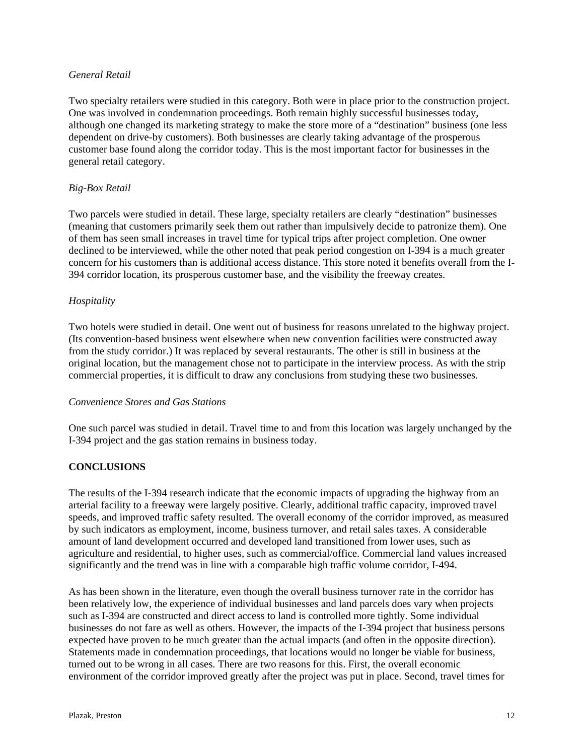#### *General Retail*

Two specialty retailers were studied in this category. Both were in place prior to the construction project. One was involved in condemnation proceedings. Both remain highly successful businesses today, although one changed its marketing strategy to make the store more of a "destination" business (one less dependent on drive-by customers). Both businesses are clearly taking advantage of the prosperous customer base found along the corridor today. This is the most important factor for businesses in the general retail category.

## *Big-Box Retail*

Two parcels were studied in detail. These large, specialty retailers are clearly "destination" businesses (meaning that customers primarily seek them out rather than impulsively decide to patronize them). One of them has seen small increases in travel time for typical trips after project completion. One owner declined to be interviewed, while the other noted that peak period congestion on I-394 is a much greater concern for his customers than is additional access distance. This store noted it benefits overall from the I-394 corridor location, its prosperous customer base, and the visibility the freeway creates.

#### *Hospitality*

Two hotels were studied in detail. One went out of business for reasons unrelated to the highway project. (Its convention-based business went elsewhere when new convention facilities were constructed away from the study corridor.) It was replaced by several restaurants. The other is still in business at the original location, but the management chose not to participate in the interview process. As with the strip commercial properties, it is difficult to draw any conclusions from studying these two businesses.

#### *Convenience Stores and Gas Stations*

One such parcel was studied in detail. Travel time to and from this location was largely unchanged by the I-394 project and the gas station remains in business today.

## **CONCLUSIONS**

The results of the I-394 research indicate that the economic impacts of upgrading the highway from an arterial facility to a freeway were largely positive. Clearly, additional traffic capacity, improved travel speeds, and improved traffic safety resulted. The overall economy of the corridor improved, as measured by such indicators as employment, income, business turnover, and retail sales taxes. A considerable amount of land development occurred and developed land transitioned from lower uses, such as agriculture and residential, to higher uses, such as commercial/office. Commercial land values increased significantly and the trend was in line with a comparable high traffic volume corridor, I-494.

As has been shown in the literature, even though the overall business turnover rate in the corridor has been relatively low, the experience of individual businesses and land parcels does vary when projects such as I-394 are constructed and direct access to land is controlled more tightly. Some individual businesses do not fare as well as others. However, the impacts of the I-394 project that business persons expected have proven to be much greater than the actual impacts (and often in the opposite direction). Statements made in condemnation proceedings, that locations would no longer be viable for business, turned out to be wrong in all cases. There are two reasons for this. First, the overall economic environment of the corridor improved greatly after the project was put in place. Second, travel times for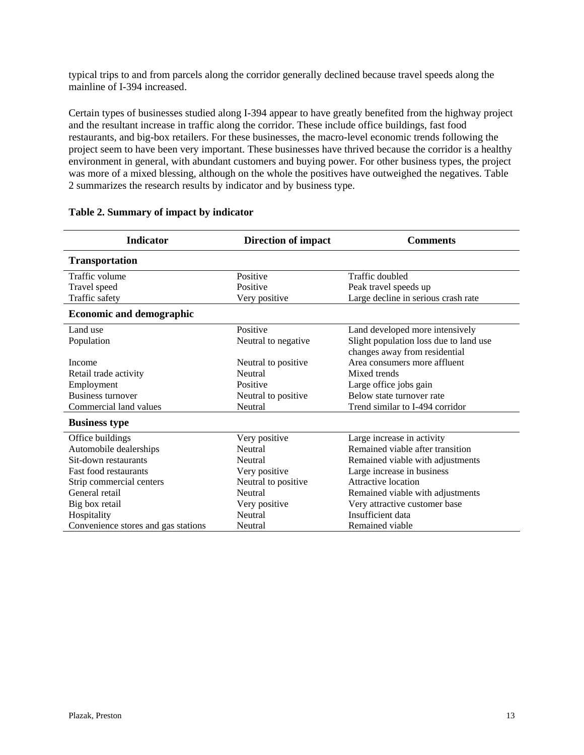typical trips to and from parcels along the corridor generally declined because travel speeds along the mainline of I-394 increased.

Certain types of businesses studied along I-394 appear to have greatly benefited from the highway project and the resultant increase in traffic along the corridor. These include office buildings, fast food restaurants, and big-box retailers. For these businesses, the macro-level economic trends following the project seem to have been very important. These businesses have thrived because the corridor is a healthy environment in general, with abundant customers and buying power. For other business types, the project was more of a mixed blessing, although on the whole the positives have outweighed the negatives. Table 2 summarizes the research results by indicator and by business type.

| <b>Indicator</b>                    | <b>Direction of impact</b> | <b>Comments</b>                        |
|-------------------------------------|----------------------------|----------------------------------------|
| <b>Transportation</b>               |                            |                                        |
| Traffic volume                      | Positive                   | Traffic doubled                        |
| Travel speed                        | Positive                   | Peak travel speeds up                  |
| Traffic safety                      | Very positive              | Large decline in serious crash rate    |
| <b>Economic and demographic</b>     |                            |                                        |
| Land use                            | Positive                   | Land developed more intensively        |
| Population                          | Neutral to negative        | Slight population loss due to land use |
|                                     |                            | changes away from residential          |
| Income                              | Neutral to positive        | Area consumers more affluent           |
| Retail trade activity               | Neutral                    | Mixed trends                           |
| Employment                          | Positive                   | Large office jobs gain                 |
| <b>Business turnover</b>            | Neutral to positive        | Below state turnover rate              |
| Commercial land values              | Neutral                    | Trend similar to I-494 corridor        |
| <b>Business type</b>                |                            |                                        |
| Office buildings                    | Very positive              | Large increase in activity             |
| Automobile dealerships              | Neutral                    | Remained viable after transition       |
| Sit-down restaurants                | Neutral                    | Remained viable with adjustments       |
| <b>Fast food restaurants</b>        | Very positive              | Large increase in business             |
| Strip commercial centers            | Neutral to positive        | Attractive location                    |
| General retail                      | Neutral                    | Remained viable with adjustments       |
| Big box retail                      | Very positive              | Very attractive customer base          |
| Hospitality                         | Neutral                    | Insufficient data                      |
| Convenience stores and gas stations | Neutral                    | Remained viable                        |

#### **Table 2. Summary of impact by indicator**